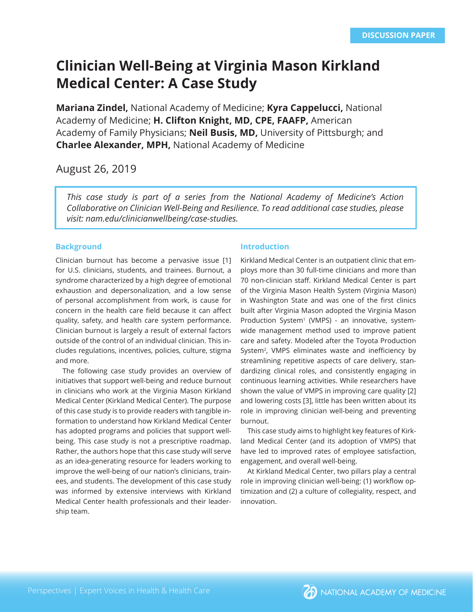# **Clinician Well-Being at Virginia Mason Kirkland Medical Center: A Case Study**

**Mariana Zindel,** National Academy of Medicine; **Kyra Cappelucci,** National Academy of Medicine; **H. Clifton Knight, MD, CPE, FAAFP,** American Academy of Family Physicians; **Neil Busis, MD,** University of Pittsburgh; and **Charlee Alexander, MPH,** National Academy of Medicine

# August 26, 2019

*This case study is part of a series from the National Academy of Medicine's Action Collaborative on Clinician Well-Being and Resilience. To read additional case studies, please visit: nam.edu/clinicianwellbeing/case-studies.* 

# **Background**

Clinician burnout has become a pervasive issue [1] for U.S. clinicians, students, and trainees. Burnout, a syndrome characterized by a high degree of emotional exhaustion and depersonalization, and a low sense of personal accomplishment from work, is cause for concern in the health care field because it can affect quality, safety, and health care system performance. Clinician burnout is largely a result of external factors outside of the control of an individual clinician. This includes regulations, incentives, policies, culture, stigma and more.

The following case study provides an overview of initiatives that support well-being and reduce burnout in clinicians who work at the Virginia Mason Kirkland Medical Center (Kirkland Medical Center). The purpose of this case study is to provide readers with tangible information to understand how Kirkland Medical Center has adopted programs and policies that support wellbeing. This case study is not a prescriptive roadmap. Rather, the authors hope that this case study will serve as an idea-generating resource for leaders working to improve the well-being of our nation's clinicians, trainees, and students. The development of this case study was informed by extensive interviews with Kirkland Medical Center health professionals and their leadership team.

# **Introduction**

Kirkland Medical Center is an outpatient clinic that employs more than 30 full-time clinicians and more than 70 non-clinician staff. Kirkland Medical Center is part of the Virginia Mason Health System (Virginia Mason) in Washington State and was one of the first clinics built after Virginia Mason adopted the Virginia Mason Production System<sup>1</sup> (VMPS) - an innovative, systemwide management method used to improve patient care and safety. Modeled after the Toyota Production System<sup>2</sup>, VMPS eliminates waste and inefficiency by streamlining repetitive aspects of care delivery, standardizing clinical roles, and consistently engaging in continuous learning activities. While researchers have shown the value of VMPS in improving care quality [2] and lowering costs [3], little has been written about its role in improving clinician well-being and preventing burnout.

This case study aims to highlight key features of Kirkland Medical Center (and its adoption of VMPS) that have led to improved rates of employee satisfaction, engagement, and overall well-being.

At Kirkland Medical Center, two pillars play a central role in improving clinician well-being: (1) workflow optimization and (2) a culture of collegiality, respect, and innovation.

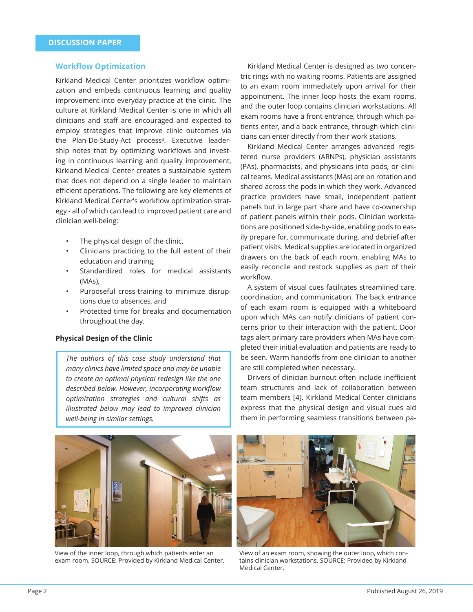#### **Workfl ow Optimization**

Kirkland Medical Center prioritizes workflow optimization and embeds continuous learning and quality improvement into everyday practice at the clinic. The culture at Kirkland Medical Center is one in which all clinicians and staff are encouraged and expected to employ strategies that improve clinic outcomes via the Plan-Do-Study-Act process<sup>3</sup>. Executive leadership notes that by optimizing workflows and investing in continuous learning and quality improvement, Kirkland Medical Center creates a sustainable system that does not depend on a single leader to maintain efficient operations. The following are key elements of Kirkland Medical Center's workflow optimization strategy - all of which can lead to improved patient care and clinician well-being:

- The physical design of the clinic,
- Clinicians practicing to the full extent of their education and training,
- Standardized roles for medical assistants (MAs),
- Purposeful cross-training to minimize disruptions due to absences, and
- Protected time for breaks and documentation throughout the day.

#### **Physical Design of the Clinic**

*The authors of this case study understand that many clinics have limited space and may be unable to create an optimal physical redesign like the one*  described below. However, incorporating workflow *optimization strategies and cultural shifts as illustrated below may lead to improved clinician well-being in similar settings.*

Kirkland Medical Center is designed as two concentric rings with no waiting rooms. Patients are assigned to an exam room immediately upon arrival for their appointment. The inner loop hosts the exam rooms, and the outer loop contains clinician workstations. All exam rooms have a front entrance, through which patients enter, and a back entrance, through which clinicians can enter directly from their work stations.

Kirkland Medical Center arranges advanced registered nurse providers (ARNPs), physician assistants (PAs), pharmacists, and physicians into pods, or clinical teams. Medical assistants (MAs) are on rotation and shared across the pods in which they work. Advanced practice providers have small, independent patient panels but in large part share and have co-ownership of patient panels within their pods. Clinician workstations are positioned side-by-side, enabling pods to easily prepare for, communicate during, and debrief after patient visits. Medical supplies are located in organized drawers on the back of each room, enabling MAs to easily reconcile and restock supplies as part of their workflow.

A system of visual cues facilitates streamlined care, coordination, and communication. The back entrance of each exam room is equipped with a whiteboard upon which MAs can notify clinicians of patient concerns prior to their interaction with the patient. Door tags alert primary care providers when MAs have completed their initial evaluation and patients are ready to be seen. Warm handoffs from one clinician to another are still completed when necessary.

Drivers of clinician burnout often include inefficient team structures and lack of collaboration between team members [4]. Kirkland Medical Center clinicians express that the physical design and visual cues aid them in performing seamless transitions between pa-



View of the inner loop, through which patients enter an exam room. SOURCE: Provided by Kirkland Medical Center.



View of an exam room, showing the outer loop, which contains clinician workstations. SOURCE: Provided by Kirkland Medical Center.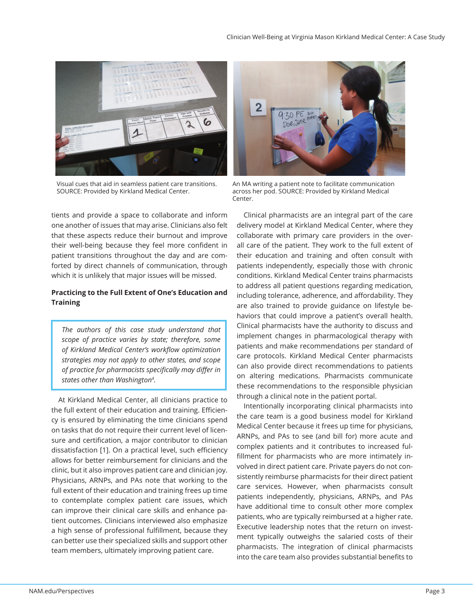

Visual cues that aid in seamless patient care transitions. SOURCE: Provided by Kirkland Medical Center.

tients and provide a space to collaborate and inform one another of issues that may arise. Clinicians also felt that these aspects reduce their burnout and improve their well-being because they feel more confident in patient transitions throughout the day and are comforted by direct channels of communication, through which it is unlikely that major issues will be missed.

# **Practicing to the Full Extent of One's Education and Training**

*The authors of this case study understand that scope of practice varies by state; therefore, some*  of Kirkland Medical Center's workflow optimization *strategies may not apply to other states, and scope of practice for pharmacists specifically may differ in states other than Washington4 .*

At Kirkland Medical Center, all clinicians practice to the full extent of their education and training. Efficiency is ensured by eliminating the time clinicians spend on tasks that do not require their current level of licensure and certification, a major contributor to clinician dissatisfaction [1]. On a practical level, such efficiency allows for better reimbursement for clinicians and the clinic, but it also improves patient care and clinician joy. Physicians, ARNPs, and PAs note that working to the full extent of their education and training frees up time to contemplate complex patient care issues, which can improve their clinical care skills and enhance patient outcomes. Clinicians interviewed also emphasize a high sense of professional fulfillment, because they can better use their specialized skills and support other team members, ultimately improving patient care.



An MA writing a patient note to facilitate communication across her pod. SOURCE: Provided by Kirkland Medical Center.

Clinical pharmacists are an integral part of the care delivery model at Kirkland Medical Center, where they collaborate with primary care providers in the overall care of the patient. They work to the full extent of their education and training and often consult with patients independently, especially those with chronic conditions. Kirkland Medical Center trains pharmacists to address all patient questions regarding medication, including tolerance, adherence, and affordability. They are also trained to provide guidance on lifestyle behaviors that could improve a patient's overall health. Clinical pharmacists have the authority to discuss and implement changes in pharmacological therapy with patients and make recommendations per standard of care protocols. Kirkland Medical Center pharmacists can also provide direct recommendations to patients on altering medications. Pharmacists communicate these recommendations to the responsible physician through a clinical note in the patient portal.

Intentionally incorporating clinical pharmacists into the care team is a good business model for Kirkland Medical Center because it frees up time for physicians, ARNPs, and PAs to see (and bill for) more acute and complex patients and it contributes to increased fulfillment for pharmacists who are more intimately involved in direct patient care. Private payers do not consistently reimburse pharmacists for their direct patient care services. However, when pharmacists consult patients independently, physicians, ARNPs, and PAs have additional time to consult other more complex patients, who are typically reimbursed at a higher rate. Executive leadership notes that the return on investment typically outweighs the salaried costs of their pharmacists. The integration of clinical pharmacists into the care team also provides substantial benefits to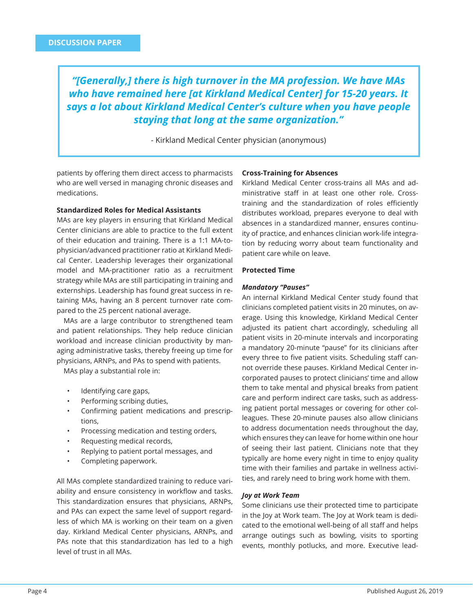*"[Generally,] there is high turnover in the MA profession. We have MAs who have remained here [at Kirkland Medical Center] for 15-20 years. It says a lot about Kirkland Medical Center's culture when you have people staying that long at the same organization."*

- Kirkland Medical Center physician (anonymous)

patients by offering them direct access to pharmacists who are well versed in managing chronic diseases and medications.

#### **Standardized Roles for Medical Assistants**

MAs are key players in ensuring that Kirkland Medical Center clinicians are able to practice to the full extent of their education and training. There is a 1:1 MA-tophysician/advanced practitioner ratio at Kirkland Medical Center. Leadership leverages their organizational model and MA-practitioner ratio as a recruitment strategy while MAs are still participating in training and externships. Leadership has found great success in retaining MAs, having an 8 percent turnover rate compared to the 25 percent national average.

MAs are a large contributor to strengthened team and patient relationships. They help reduce clinician workload and increase clinician productivity by managing administrative tasks, thereby freeing up time for physicians, ARNPs, and PAs to spend with patients.

MAs play a substantial role in:

- Identifying care gaps,
- Performing scribing duties,
- Confirming patient medications and prescriptions,
- Processing medication and testing orders,
- Requesting medical records,
- Replying to patient portal messages, and
- Completing paperwork.

All MAs complete standardized training to reduce variability and ensure consistency in workflow and tasks. This standardization ensures that physicians, ARNPs, and PAs can expect the same level of support regardless of which MA is working on their team on a given day. Kirkland Medical Center physicians, ARNPs, and PAs note that this standardization has led to a high level of trust in all MAs.

#### **Cross-Training for Absences**

Kirkland Medical Center cross-trains all MAs and administrative staff in at least one other role. Crosstraining and the standardization of roles efficiently distributes workload, prepares everyone to deal with absences in a standardized manner, ensures continuity of practice, and enhances clinician work-life integration by reducing worry about team functionality and patient care while on leave.

#### **Protected Time**

#### *Mandatory "Pauses"*

An internal Kirkland Medical Center study found that clinicians completed patient visits in 20 minutes, on average. Using this knowledge, Kirkland Medical Center adjusted its patient chart accordingly, scheduling all patient visits in 20-minute intervals and incorporating a mandatory 20-minute "pause" for its clinicians after every three to five patient visits. Scheduling staff cannot override these pauses. Kirkland Medical Center incorporated pauses to protect clinicians' time and allow them to take mental and physical breaks from patient care and perform indirect care tasks, such as addressing patient portal messages or covering for other colleagues. These 20-minute pauses also allow clinicians to address documentation needs throughout the day, which ensures they can leave for home within one hour of seeing their last patient. Clinicians note that they typically are home every night in time to enjoy quality time with their families and partake in wellness activities, and rarely need to bring work home with them.

#### *Joy at Work Team*

Some clinicians use their protected time to participate in the Joy at Work team. The Joy at Work team is dedicated to the emotional well-being of all staff and helps arrange outings such as bowling, visits to sporting events, monthly potlucks, and more. Executive lead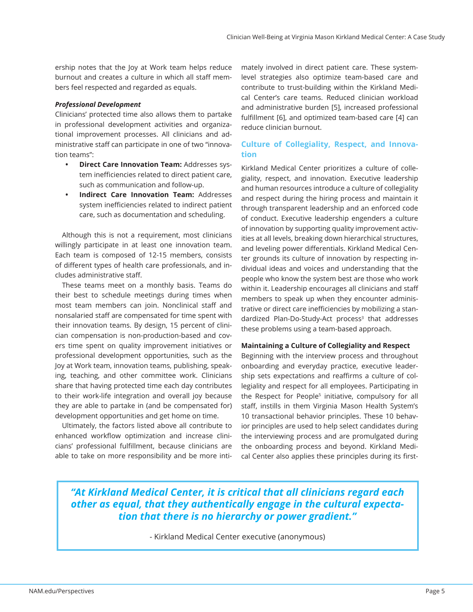ership notes that the Joy at Work team helps reduce burnout and creates a culture in which all staff members feel respected and regarded as equals.

## *Professional Development*

Clinicians' protected time also allows them to partake in professional development activities and organizational improvement processes. All clinicians and administrative staff can participate in one of two "innovation teams":

- **Direct Care Innovation Team:** Addresses system inefficiencies related to direct patient care, such as communication and follow-up.
- **Indirect Care Innovation Team:** Addresses system inefficiencies related to indirect patient care, such as documentation and scheduling.

Although this is not a requirement, most clinicians willingly participate in at least one innovation team. Each team is composed of 12-15 members, consists of different types of health care professionals, and includes administrative staff.

These teams meet on a monthly basis. Teams do their best to schedule meetings during times when most team members can join. Nonclinical staff and nonsalaried staff are compensated for time spent with their innovation teams. By design, 15 percent of clinician compensation is non-production-based and covers time spent on quality improvement initiatives or professional development opportunities, such as the Joy at Work team, innovation teams, publishing, speaking, teaching, and other committee work. Clinicians share that having protected time each day contributes to their work-life integration and overall joy because they are able to partake in (and be compensated for) development opportunities and get home on time.

Ultimately, the factors listed above all contribute to enhanced workflow optimization and increase clinicians' professional fulfillment, because clinicians are able to take on more responsibility and be more intimately involved in direct patient care. These systemlevel strategies also optimize team-based care and contribute to trust-building within the Kirkland Medical Center's care teams. Reduced clinician workload and administrative burden [5], increased professional fulfillment [6], and optimized team-based care [4] can reduce clinician burnout.

# **Culture of Collegiality, Respect, and Innovation**

Kirkland Medical Center prioritizes a culture of collegiality, respect, and innovation. Executive leadership and human resources introduce a culture of collegiality and respect during the hiring process and maintain it through transparent leadership and an enforced code of conduct. Executive leadership engenders a culture of innovation by supporting quality improvement activities at all levels, breaking down hierarchical structures, and leveling power differentials. Kirkland Medical Center grounds its culture of innovation by respecting individual ideas and voices and understanding that the people who know the system best are those who work within it. Leadership encourages all clinicians and staff members to speak up when they encounter administrative or direct care inefficiencies by mobilizing a standardized Plan-Do-Study-Act process<sup>3</sup> that addresses these problems using a team-based approach.

# **Maintaining a Culture of Collegiality and Respect**

Beginning with the interview process and throughout onboarding and everyday practice, executive leadership sets expectations and reaffirms a culture of collegiality and respect for all employees. Participating in the Respect for People<sup>5</sup> initiative, compulsory for all staff, instills in them Virginia Mason Health System's 10 transactional behavior principles. These 10 behavior principles are used to help select candidates during the interviewing process and are promulgated during the onboarding process and beyond. Kirkland Medical Center also applies these principles during its first-

# *"At Kirkland Medical Center, it is critical that all clinicians regard each other as equal, that they authentically engage in the cultural expectation that there is no hierarchy or power gradient."*

- Kirkland Medical Center executive (anonymous)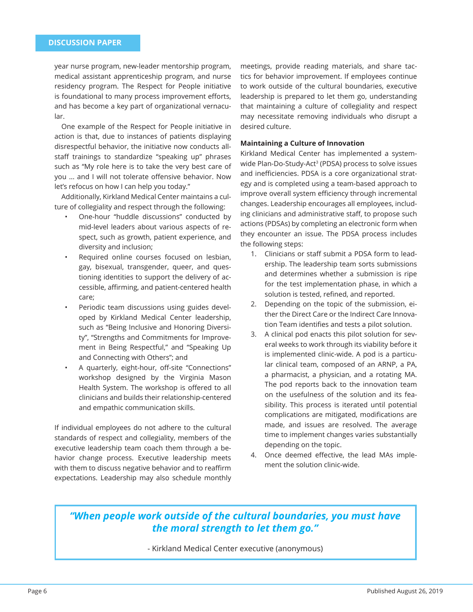year nurse program, new-leader mentorship program, medical assistant apprenticeship program, and nurse residency program. The Respect for People initiative is foundational to many process improvement efforts, and has become a key part of organizational vernacular.

One example of the Respect for People initiative in action is that, due to instances of patients displaying disrespectful behavior, the initiative now conducts allstaff trainings to standardize "speaking up" phrases such as "My role here is to take the very best care of you ... and I will not tolerate offensive behavior. Now let's refocus on how I can help you today."

Additionally, Kirkland Medical Center maintains a culture of collegiality and respect through the following:

- One-hour "huddle discussions" conducted by mid-level leaders about various aspects of respect, such as growth, patient experience, and diversity and inclusion;
- Required online courses focused on lesbian, gay, bisexual, transgender, queer, and questioning identities to support the delivery of accessible, affirming, and patient-centered health care;
- Periodic team discussions using guides developed by Kirkland Medical Center leadership, such as "Being Inclusive and Honoring Diversity", "Strengths and Commitments for Improvement in Being Respectful," and "Speaking Up and Connecting with Others"; and
- A quarterly, eight-hour, off-site "Connections" workshop designed by the Virginia Mason Health System. The workshop is offered to all clinicians and builds their relationship-centered and empathic communication skills.

If individual employees do not adhere to the cultural standards of respect and collegiality, members of the executive leadership team coach them through a behavior change process. Executive leadership meets with them to discuss negative behavior and to reaffirm expectations. Leadership may also schedule monthly

meetings, provide reading materials, and share tactics for behavior improvement. If employees continue to work outside of the cultural boundaries, executive leadership is prepared to let them go, understanding that maintaining a culture of collegiality and respect may necessitate removing individuals who disrupt a desired culture.

# **Maintaining a Culture of Innovation**

Kirkland Medical Center has implemented a systemwide Plan-Do-Study-Act<sup>3</sup> (PDSA) process to solve issues and inefficiencies. PDSA is a core organizational strategy and is completed using a team-based approach to improve overall system efficiency through incremental changes. Leadership encourages all employees, including clinicians and administrative staff, to propose such actions (PDSAs) by completing an electronic form when they encounter an issue. The PDSA process includes the following steps:

- 1. Clinicians or staff submit a PDSA form to leadership. The leadership team sorts submissions and determines whether a submission is ripe for the test implementation phase, in which a solution is tested, refined, and reported.
- 2. Depending on the topic of the submission, either the Direct Care or the Indirect Care Innovation Team identifies and tests a pilot solution.
- 3. A clinical pod enacts this pilot solution for several weeks to work through its viability before it is implemented clinic-wide. A pod is a particular clinical team, composed of an ARNP, a PA, a pharmacist, a physician, and a rotating MA. The pod reports back to the innovation team on the usefulness of the solution and its feasibility. This process is iterated until potential complications are mitigated, modifications are made, and issues are resolved. The average time to implement changes varies substantially depending on the topic.
- 4. Once deemed effective, the lead MAs implement the solution clinic-wide.

# *"When people work outside of the cultural boundaries, you must have the moral strength to let them go."*

- Kirkland Medical Center executive (anonymous)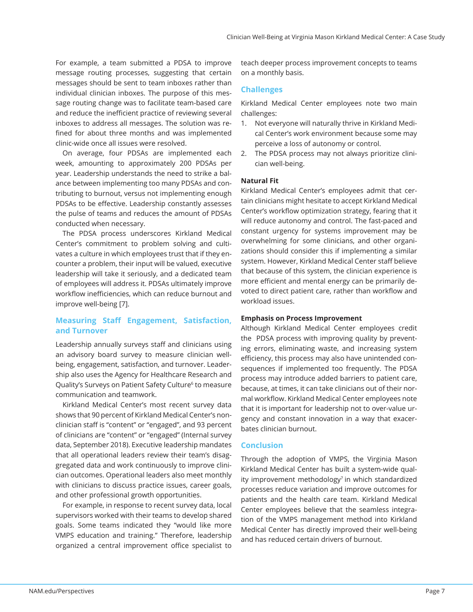For example, a team submitted a PDSA to improve message routing processes, suggesting that certain messages should be sent to team inboxes rather than individual clinician inboxes. The purpose of this message routing change was to facilitate team-based care and reduce the inefficient practice of reviewing several inboxes to address all messages. The solution was refined for about three months and was implemented clinic-wide once all issues were resolved.

On average, four PDSAs are implemented each week, amounting to approximately 200 PDSAs per year. Leadership understands the need to strike a balance between implementing too many PDSAs and contributing to burnout, versus not implementing enough PDSAs to be effective. Leadership constantly assesses the pulse of teams and reduces the amount of PDSAs conducted when necessary.

The PDSA process underscores Kirkland Medical Center's commitment to problem solving and cultivates a culture in which employees trust that if they encounter a problem, their input will be valued, executive leadership will take it seriously, and a dedicated team of employees will address it. PDSAs ultimately improve workflow inefficiencies, which can reduce burnout and improve well-being [7].

# **Measuring Staff Engagement, Satisfaction, and Turnover**

Leadership annually surveys staff and clinicians using an advisory board survey to measure clinician wellbeing, engagement, satisfaction, and turnover. Leadership also uses the Agency for Healthcare Research and Quality's Surveys on Patient Safety Culture<sup>6</sup> to measure communication and teamwork.

Kirkland Medical Center's most recent survey data shows that 90 percent of Kirkland Medical Center's nonclinician staff is "content" or "engaged", and 93 percent of clinicians are "content" or "engaged" (Internal survey data, September 2018). Executive leadership mandates that all operational leaders review their team's disaggregated data and work continuously to improve clinician outcomes. Operational leaders also meet monthly with clinicians to discuss practice issues, career goals, and other professional growth opportunities.

For example, in response to recent survey data, local supervisors worked with their teams to develop shared goals. Some teams indicated they "would like more VMPS education and training." Therefore, leadership organized a central improvement office specialist to teach deeper process improvement concepts to teams on a monthly basis.

# **Challenges**

Kirkland Medical Center employees note two main challenges:

- 1. Not everyone will naturally thrive in Kirkland Medical Center's work environment because some may perceive a loss of autonomy or control.
- 2. The PDSA process may not always prioritize clinician well-being.

### **Natural Fit**

Kirkland Medical Center's employees admit that certain clinicians might hesitate to accept Kirkland Medical Center's workflow optimization strategy, fearing that it will reduce autonomy and control. The fast-paced and constant urgency for systems improvement may be overwhelming for some clinicians, and other organizations should consider this if implementing a similar system. However, Kirkland Medical Center staff believe that because of this system, the clinician experience is more efficient and mental energy can be primarily devoted to direct patient care, rather than workflow and workload issues.

# **Emphasis on Process Improvement**

Although Kirkland Medical Center employees credit the PDSA process with improving quality by preventing errors, eliminating waste, and increasing system efficiency, this process may also have unintended consequences if implemented too frequently. The PDSA process may introduce added barriers to patient care, because, at times, it can take clinicians out of their normal workflow. Kirkland Medical Center employees note that it is important for leadership not to over-value urgency and constant innovation in a way that exacerbates clinician burnout.

### **Conclusion**

Through the adoption of VMPS, the Virginia Mason Kirkland Medical Center has built a system-wide quality improvement methodology<sup>7</sup> in which standardized processes reduce variation and improve outcomes for patients and the health care team. Kirkland Medical Center employees believe that the seamless integration of the VMPS management method into Kirkland Medical Center has directly improved their well-being and has reduced certain drivers of burnout.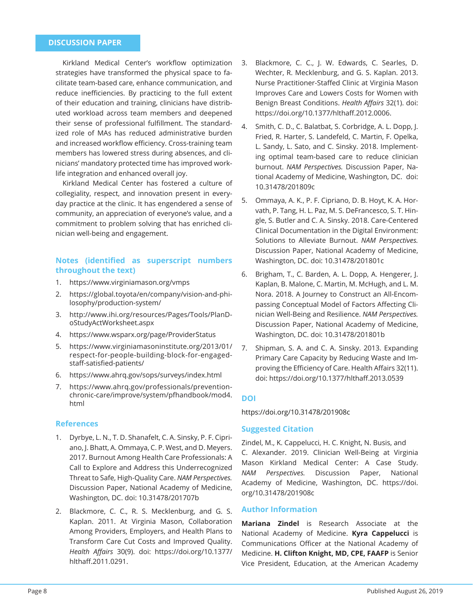# **DISCUSSION PAPER**

Kirkland Medical Center's workflow optimization strategies have transformed the physical space to facilitate team-based care, enhance communication, and reduce inefficiencies. By practicing to the full extent of their education and training, clinicians have distributed workload across team members and deepened their sense of professional fulfillment. The standardized role of MAs has reduced administrative burden and increased workflow efficiency. Cross-training team members has lowered stress during absences, and clinicians' mandatory protected time has improved worklife integration and enhanced overall joy.

Kirkland Medical Center has fostered a culture of collegiality, respect, and innovation present in everyday practice at the clinic. It has engendered a sense of community, an appreciation of everyone's value, and a commitment to problem solving that has enriched clinician well-being and engagement.

# **Notes (identified as superscript numbers throughout the text)**

- 1. https://www.virginiamason.org/vmps
- 2. https://global.toyota/en/company/vision-and-philosophy/production-system/
- 3. http://www.ihi.org/resources/Pages/Tools/PlanDoStudyActWorksheet.aspx
- 4. https://www.wsparx.org/page/ProviderStatus
- 5. https://www.virginiamasoninstitute.org/2013/01/ respect-for-people-building-block-for-engagedstaff-satisfied-patients/
- 6. https://www.ahrq.gov/sops/surveys/index.html
- 7. https://www.ahrq.gov/professionals/preventionchronic-care/improve/system/pfhandbook/mod4. html

# **References**

- 1. Dyrbye, L. N., T. D. Shanafelt, C. A. Sinsky, P. F. Cipriano, J. Bhatt, A. Ommaya, C. P. West, and D. Meyers. 2017. Burnout Among Health Care Professionals: A Call to Explore and Address this Underrecognized Threat to Safe, High-Quality Care. *NAM Perspectives.*  Discussion Paper, National Academy of Medicine, Washington, DC. doi: 10.31478/201707b
- 2. Blackmore, C. C., R. S. Mecklenburg, and G. S. Kaplan. 2011. At Virginia Mason, Collaboration Among Providers, Employers, and Health Plans to Transform Care Cut Costs and Improved Quality. *Health Aff airs* 30(9). doi: https://doi.org/10.1377/ hlthaff .2011.0291.
- 3. Blackmore, C. C., J. W. Edwards, C. Searles, D. Wechter, R. Mecklenburg, and G. S. Kaplan. 2013. Nurse Practitioner-Staffed Clinic at Virginia Mason Improves Care and Lowers Costs for Women with Benign Breast Conditions. *Health Affairs* 32(1). doi: https://doi.org/10.1377/hlthaff.2012.0006.
- 4. Smith, C. D., C. Balatbat, S. Corbridge, A. L. Dopp, J. Fried, R. Harter, S. Landefeld, C. Martin, F. Opelka, L. Sandy, L. Sato, and C. Sinsky. 2018. Implementing optimal team-based care to reduce clinician burnout. *NAM Perspectives.* Discussion Paper, National Academy of Medicine, Washington, DC. doi: 10.31478/201809c
- 5. Ommaya, A. K., P. F. Cipriano, D. B. Hoyt, K. A. Horvath, P. Tang, H. L. Paz, M. S. DeFrancesco, S. T. Hingle, S. Butler and C. A. Sinsky. 2018. Care-Centered Clinical Documentation in the Digital Environment: Solutions to Alleviate Burnout. *NAM Perspectives.*  Discussion Paper, National Academy of Medicine, Washington, DC. doi: 10.31478/201801c
- 6. Brigham, T., C. Barden, A. L. Dopp, A. Hengerer, J. Kaplan, B. Malone, C. Martin, M. McHugh, and L. M. Nora. 2018. A Journey to Construct an All-Encompassing Conceptual Model of Factors Affecting Clinician Well-Being and Resilience. *NAM Perspectives.*  Discussion Paper, National Academy of Medicine, Washington, DC. doi: 10.31478/201801b
- 7. Shipman, S. A. and C. A. Sinsky. 2013. Expanding Primary Care Capacity by Reducing Waste and Improving the Efficiency of Care. Health Affairs 32(11). doi: https://doi.org/10.1377/hlthaff .2013.0539

# **DOI**

https://doi.org/10.31478/201908c

#### **Suggested Citation**

Zindel, M., K. Cappelucci, H. C. Knight, N. Busis, and C. Alexander. 2019. Clinician Well-Being at Virginia Mason Kirkland Medical Center: A Case Study. *NAM Perspectives.* Discussion Paper, National Academy of Medicine, Washington, DC. https://doi. org/10.31478/201908c

# **Author Information**

**Mariana Zindel** is Research Associate at the National Academy of Medicine. **Kyra Cappelucci** is Communications Officer at the National Academy of Medicine. **H. Clifton Knight, MD, CPE, FAAFP** is Senior Vice President, Education, at the American Academy